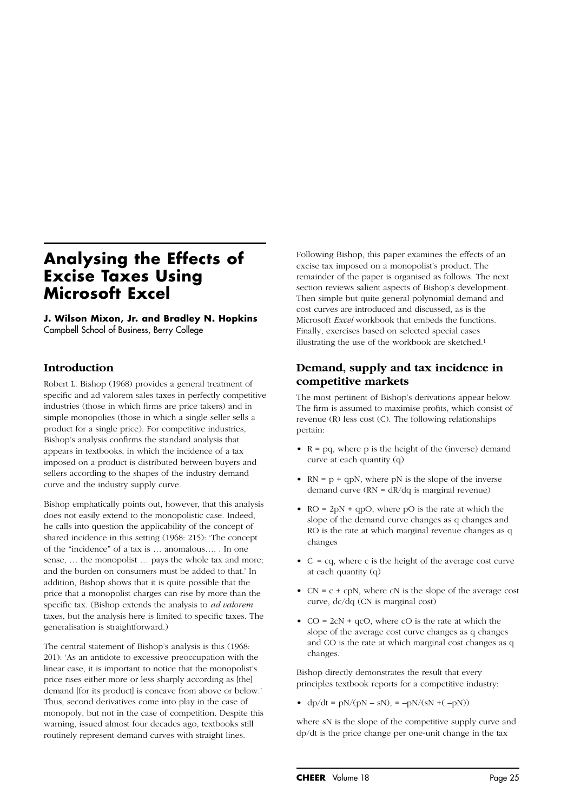# **Analysing the Effects of Excise Taxes Using Microsoft Excel**

**J. Wilson Mixon, Jr. and Bradley N. Hopkins** Campbell School of Business, Berry College

## **Introduction**

Robert L. Bishop (1968) provides a general treatment of specific and ad valorem sales taxes in perfectly competitive industries (those in which firms are price takers) and in simple monopolies (those in which a single seller sells a product for a single price). For competitive industries, Bishop's analysis confirms the standard analysis that appears in textbooks, in which the incidence of a tax imposed on a product is distributed between buyers and sellers according to the shapes of the industry demand curve and the industry supply curve.

Bishop emphatically points out, however, that this analysis does not easily extend to the monopolistic case. Indeed, he calls into question the applicability of the concept of shared incidence in this setting (1968: 215): 'The concept of the "incidence" of a tax is … anomalous…. . In one sense, … the monopolist … pays the whole tax and more; and the burden on consumers must be added to that.' In addition, Bishop shows that it is quite possible that the price that a monopolist charges can rise by more than the specific tax. (Bishop extends the analysis to *ad valorem* taxes, but the analysis here is limited to specific taxes. The generalisation is straightforward.)

The central statement of Bishop's analysis is this (1968: 201): 'As an antidote to excessive preoccupation with the linear case, it is important to notice that the monopolist's price rises either more or less sharply according as [the] demand *for its product* is concave from above or below.' Thus, second derivatives come into play in the case of monopoly, but not in the case of competition. Despite this warning, issued almost four decades ago, textbooks still routinely represent demand curves with straight lines.

Following Bishop, this paper examines the effects of an excise tax imposed on a monopolist's product. The remainder of the paper is organised as follows. The next section reviews salient aspects of Bishop's development. Then simple but quite general polynomial demand and cost curves are introduced and discussed, as is the Microsoft *Excel* workbook that embeds the functions. Finally, exercises based on selected special cases illustrating the use of the workbook are sketched.1

# **Demand, supply and tax incidence in competitive markets**

The most pertinent of Bishop's derivations appear below. The firm is assumed to maximise profits, which consist of revenue (R) less cost (C). The following relationships pertain:

- $R = pq$ , where p is the height of the (inverse) demand curve at each quantity (q)
- $RN = p + qpN$ , where pN is the slope of the inverse demand curve (RN = dR/dq is marginal revenue)
- $RO = 2pN + qpO$ , where pO is the rate at which the slope of the demand curve changes as q changes and RO is the rate at which marginal revenue changes as q changes
- $C = cq$ , where c is the height of the average cost curve at each quantity (q)
- $CN = c + cpN$ , where  $cN$  is the slope of the average cost curve, dc/dq (CN is marginal cost)
- $CO = 2cN + qcO$ , where  $cO$  is the rate at which the slope of the average cost curve changes as q changes and CO is the rate at which marginal cost changes as q changes.

Bishop directly demonstrates the result that every principles textbook reports for a competitive industry:

•  $dp/dt = pN/(pN - sN)$ , =  $-pN/(sN + (-pN))$ 

where sN is the slope of the competitive supply curve and dp/dt is the price change per one-unit change in the tax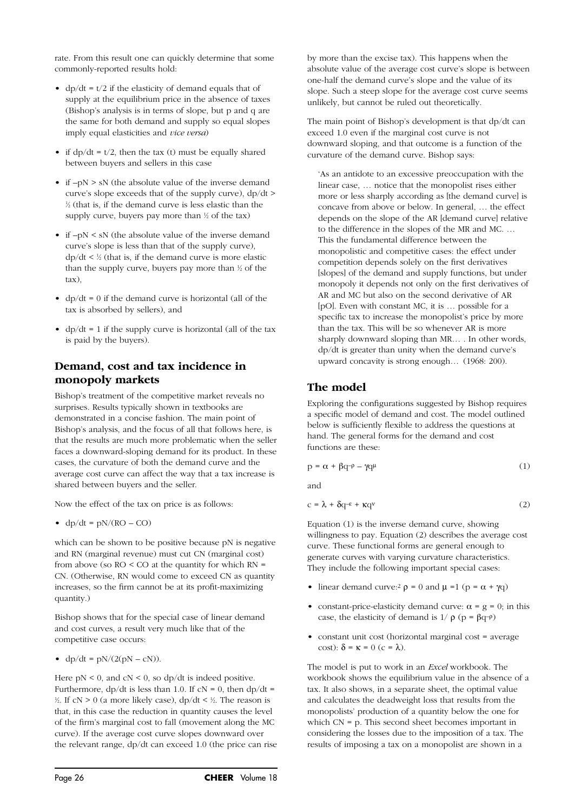rate. From this result one can quickly determine that some commonly-reported results hold:

- dp/dt =  $t/2$  if the elasticity of demand equals that of supply at the equilibrium price in the absence of taxes (Bishop's analysis is in terms of slope, but p and q are the same for both demand and supply so equal slopes imply equal elasticities and *vice versa*)
- if  $dp/dt = t/2$ , then the tax (t) must be equally shared between buyers and sellers in this case
- if  $-pN > sN$  (the absolute value of the inverse demand curve's slope exceeds that of the supply curve), dp/dt > 1 ⁄2 (that is, if the demand curve is less elastic than the supply curve, buyers pay more than  $\frac{1}{2}$  of the tax)
- if  $-pN < sN$  (the absolute value of the inverse demand curve's slope is less than that of the supply curve),  $dp/dt \leq \frac{1}{2}$  (that is, if the demand curve is more elastic than the supply curve, buyers pay more than  $\frac{1}{2}$  of the tax),
- $dp/dt = 0$  if the demand curve is horizontal (all of the tax is absorbed by sellers), and
- $dp/dt = 1$  if the supply curve is horizontal (all of the tax is paid by the buyers).

# **Demand, cost and tax incidence in monopoly markets**

Bishop's treatment of the competitive market reveals no surprises. Results typically shown in textbooks are demonstrated in a concise fashion. The main point of Bishop's analysis, and the focus of all that follows here, is that the results are much more problematic when the seller faces a downward-sloping demand for its product. In these cases, the curvature of both the demand curve and the average cost curve can affect the way that a tax increase is shared between buyers and the seller.

Now the effect of the tax on price is as follows:

•  $dp/dt = pN/(RO - CO)$ 

which can be shown to be positive because pN is negative and RN (marginal revenue) must cut CN (marginal cost) from above (so  $RO < CO$  at the quantity for which  $RN =$ CN. (Otherwise, RN would come to exceed CN as quantity increases, so the firm cannot be at its profit-maximizing quantity.)

Bishop shows that for the special case of linear demand and cost curves, a result very much like that of the competitive case occurs:

• 
$$
dp/dt = pN/(2(pN - cN)).
$$

Here  $pN < 0$ , and  $cN < 0$ , so dp/dt is indeed positive. Furthermore,  $dp/dt$  is less than 1.0. If  $cN = 0$ , then  $dp/dt =$  $\frac{1}{2}$ . If cN > 0 (a more likely case), dp/dt <  $\frac{1}{2}$ . The reason is that, in this case the reduction in quantity causes the level of the firm's marginal cost to fall (movement along the MC curve). If the average cost curve slopes downward over the relevant range, dp/dt can exceed 1.0 (the price can rise

by more than the excise tax). This happens when the absolute value of the average cost curve's slope is between one-half the demand curve's slope and the value of its slope. Such a steep slope for the average cost curve seems unlikely, but cannot be ruled out theoretically.

The main point of Bishop's development is that dp/dt can exceed 1.0 even if the marginal cost curve is not downward sloping, and that outcome is a function of the curvature of the demand curve. Bishop says:

'As an antidote to an excessive preoccupation with the linear case, … notice that the monopolist rises either more or less sharply according as [the demand curve] is concave from above or below. In general, … the effect depends on the slope of the AR [demand curve] relative to the difference in the slopes of the MR and MC. … This the fundamental difference between the monopolistic and competitive cases: the effect under competition depends solely on the first derivatives [slopes] of the demand and supply functions, but under monopoly it depends not only on the first derivatives of AR and MC but also on the second derivative of AR [pO]. Even with constant MC, it is … possible for a specific tax to increase the monopolist's price by more than the tax. This will be so whenever AR is more sharply downward sloping than MR… . In other words, dp/dt is greater than unity when the demand curve's upward concavity is strong enough… (1968: 200).

# **The model**

Exploring the configurations suggested by Bishop requires a specific model of demand and cost. The model outlined below is sufficiently flexible to address the questions at hand. The general forms for the demand and cost functions are these:

$$
p = \alpha + \beta q - \gamma q^{\mu} \tag{1}
$$

and

$$
c = \lambda + \delta q^{-\varepsilon} + \kappa q^{\nu} \tag{2}
$$

Equation (1) is the inverse demand curve, showing willingness to pay. Equation (2) describes the average cost curve. These functional forms are general enough to generate curves with varying curvature characteristics. They include the following important special cases:

- linear demand curve:  $\rho = 0$  and  $\mu = 1$  ( $p = \alpha + \gamma q$ )
- constant-price-elasticity demand curve:  $\alpha = g = 0$ ; in this case, the elasticity of demand is  $1/p$  (p =  $\beta q \rightarrow p$ )
- constant unit cost (horizontal marginal cost = average cost):  $\delta = \kappa = 0$  (c =  $\lambda$ ).

The model is put to work in an *Excel* workbook. The workbook shows the equilibrium value in the absence of a tax. It also shows, in a separate sheet, the optimal value and calculates the deadweight loss that results from the monopolists' production of a quantity below the one for which CN = p. This second sheet becomes important in considering the losses due to the imposition of a tax. The results of imposing a tax on a monopolist are shown in a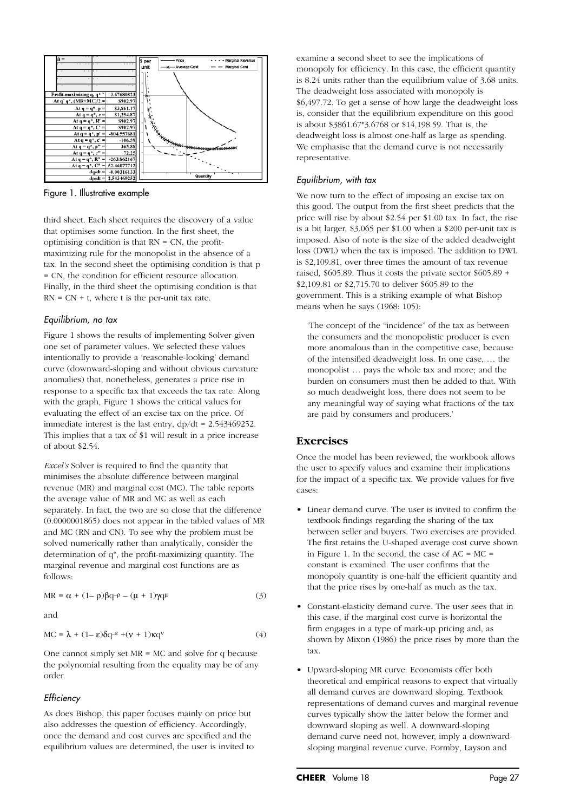

Figure 1. Illustrative example

third sheet. Each sheet requires the discovery of a value that optimises some function. In the first sheet, the optimising condition is that RN = CN, the profitmaximizing rule for the monopolist in the absence of a tax. In the second sheet the optimising condition is that p = CN, the condition for efficient resource allocation. Finally, in the third sheet the optimising condition is that  $RN = CN + t$ , where t is the per-unit tax rate.

#### *Equilibrium, no tax*

Figure 1 shows the results of implementing Solver given one set of parameter values. We selected these values intentionally to provide a 'reasonable-looking' demand curve (downward-sloping and without obvious curvature anomalies) that, nonetheless, generates a price rise in response to a specific tax that exceeds the tax rate. Along with the graph, Figure 1 shows the critical values for evaluating the effect of an excise tax on the price. Of immediate interest is the last entry, dp/dt = 2.543469252. This implies that a tax of \$1 will result in a price increase of about \$2.54.

*Excel's* Solver is required to find the quantity that minimises the absolute difference between marginal revenue (MR) and marginal cost (MC). The table reports the average value of MR and MC as well as each separately. In fact, the two are so close that the difference (0.0000001865) does not appear in the tabled values of MR and MC (RN and CN). To see why the problem must be solved numerically rather than analytically, consider the determination of q\*, the profit-maximizing quantity. The marginal revenue and marginal cost functions are as follows:

$$
MR = \alpha + (1 - \rho)\beta q^{-\rho} - (\mu + 1)\gamma q^{\mu}
$$
 (3)

and

$$
MC = \lambda + (1 - \varepsilon)\delta q^{-\varepsilon} + (v + 1)\kappa q^v \tag{4}
$$

One cannot simply set MR = MC and solve for q because the polynomial resulting from the equality may be of any order.

#### *Efficiency*

As does Bishop, this paper focuses mainly on price but also addresses the question of efficiency. Accordingly, once the demand and cost curves are specified and the equilibrium values are determined, the user is invited to examine a second sheet to see the implications of monopoly for efficiency. In this case, the efficient quantity is 8.24 units rather than the equilibrium value of 3.68 units. The deadweight loss associated with monopoly is \$6,497.72. To get a sense of how large the deadweight loss is, consider that the equilibrium expenditure on this good is about \$3861.67\*3.6768 or \$14,198.59. That is, the deadweight loss is almost one-half as large as spending. We emphasise that the demand curve is not necessarily representative.

#### *Equilibrium, with tax*

We now turn to the effect of imposing an excise tax on this good. The output from the first sheet predicts that the price will rise by about \$2.54 per \$1.00 tax. In fact, the rise is a bit larger, \$3.065 per \$1.00 when a \$200 per-unit tax is imposed. Also of note is the size of the added deadweight loss (DWL) when the tax is imposed. The addition to DWL is \$2,109.81, over three times the amount of tax revenue raised, \$605.89. Thus it costs the private sector \$605.89 + \$2,109.81 or \$2,715.70 to deliver \$605.89 to the government. This is a striking example of what Bishop means when he says (1968: 105):

'The concept of the "incidence" of the tax as between the consumers and the monopolistic producer is even more anomalous than in the competitive case, because of the intensified deadweight loss. In one case, … the monopolist … pays the whole tax and more; and the burden on consumers must then be added to that. With so much deadweight loss, there does not seem to be any meaningful way of saying what fractions of the tax are paid by consumers and producers.'

### **Exercises**

Once the model has been reviewed, the workbook allows the user to specify values and examine their implications for the impact of a specific tax. We provide values for five cases:

- Linear demand curve. The user is invited to confirm the textbook findings regarding the sharing of the tax between seller and buyers. Two exercises are provided. The first retains the U-shaped average cost curve shown in Figure 1. In the second, the case of  $AC = MC =$ constant is examined. The user confirms that the monopoly quantity is one-half the efficient quantity and that the price rises by one-half as much as the tax.
- Constant-elasticity demand curve. The user sees that in this case, if the marginal cost curve is horizontal the firm engages in a type of mark-up pricing and, as shown by Mixon (1986) the price rises by more than the tax.
- Upward-sloping MR curve. Economists offer both theoretical and empirical reasons to expect that virtually all demand curves are downward sloping. Textbook representations of demand curves and marginal revenue curves typically show the latter below the former and downward sloping as well. A downward-sloping demand curve need not, however, imply a downwardsloping marginal revenue curve. Formby, Layson and